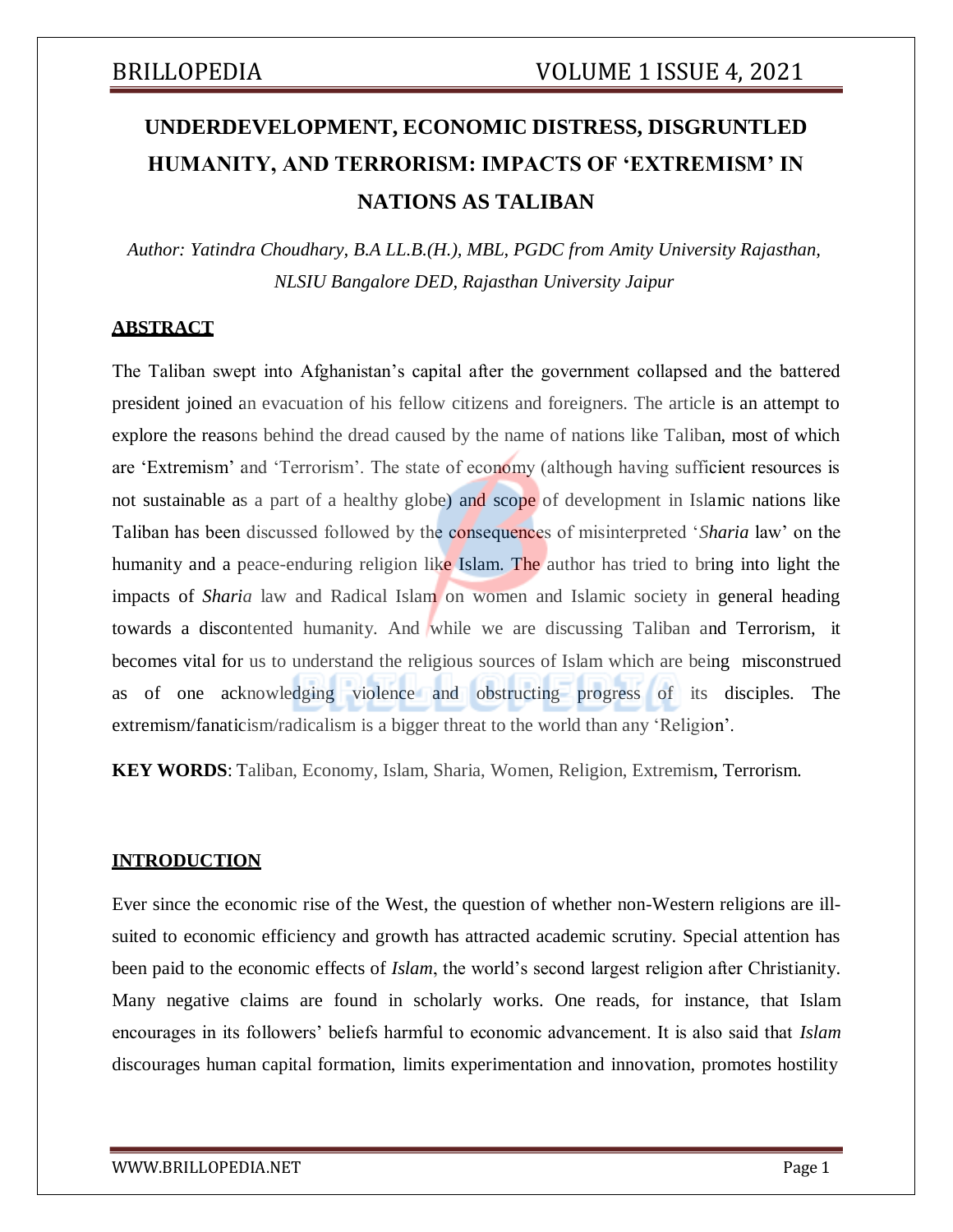## **UNDERDEVELOPMENT, ECONOMIC DISTRESS, DISGRUNTLED HUMANITY, AND TERRORISM: IMPACTS OF 'EXTREMISM' IN NATIONS AS TALIBAN**

*Author: Yatindra Choudhary, B.A LL.B.(H.), MBL, PGDC from Amity University Rajasthan, NLSIU Bangalore DED, Rajasthan University Jaipur*

### **ABSTRACT**

The Taliban swept into Afghanistan's capital after the government collapsed and the battered president joined an evacuation of his fellow citizens and foreigners. The article is an attempt to explore the reasons behind the dread caused by the name of nations like Taliban, most of which are 'Extremism' and 'Terrorism'. The state of economy (although having sufficient resources is not sustainable as a part of a healthy globe) and scope of development in Islamic nations like Taliban has been discussed followed by the consequences of misinterpreted '*Sharia* law' on the humanity and a peace-enduring religion like Islam. The author has tried to bring into light the impacts of *Sharia* law and Radical Islam on women and Islamic society in general heading towards a discontented humanity. And while we are discussing Taliban and Terrorism, it becomes vital for us to understand the religious sources of Islam which are being misconstrued as of one acknowledging violence and obstructing progress of its disciples. The extremism/fanaticism/radicalism is a bigger threat to the world than any 'Religion'.

**KEY WORDS**: Taliban, Economy, Islam, Sharia, Women, Religion, Extremism, Terrorism.

### **INTRODUCTION**

Ever since the economic rise of the West, the question of whether non-Western religions are illsuited to economic efficiency and growth has attracted academic scrutiny. Special attention has been paid to the economic effects of *Islam*, the world's second largest religion after Christianity. Many negative claims are found in scholarly works. One reads, for instance, that Islam encourages in its followers' beliefs harmful to economic advancement. It is also said that *Islam* discourages human capital formation, limits experimentation and innovation, promotes hostility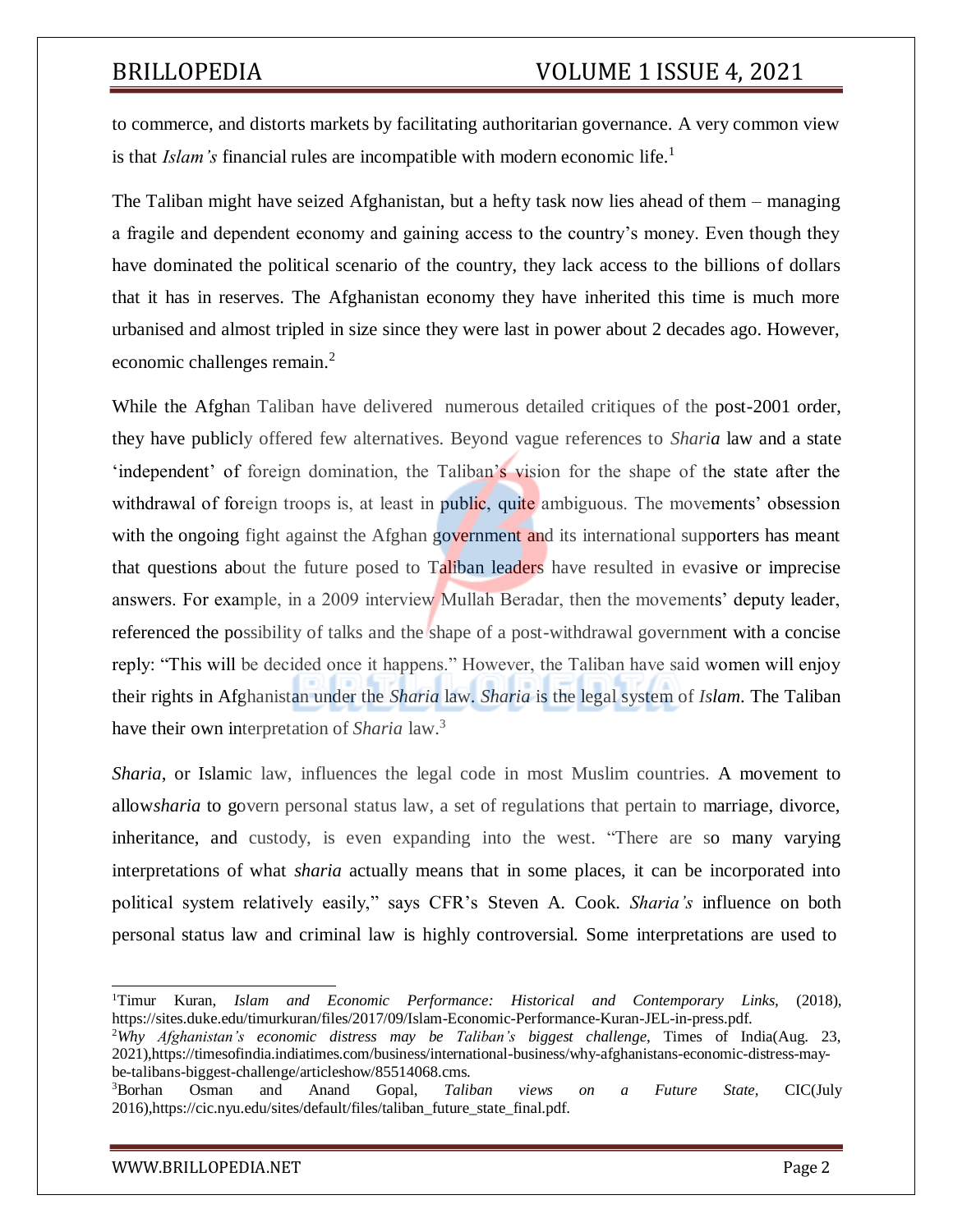to commerce, and distorts markets by facilitating authoritarian governance. A very common view is that *Islam's* financial rules are incompatible with modern economic life.<sup>1</sup>

The Taliban might have seized Afghanistan, but a hefty task now lies ahead of them – managing a fragile and dependent economy and gaining access to the country's money. Even though they have dominated the political scenario of the country, they lack access to the billions of dollars that it has in reserves. The Afghanistan economy they have inherited this time is much more urbanised and almost tripled in size since they were last in power about 2 decades ago. However, economic challenges remain.<sup>2</sup>

While the Afghan Taliban have delivered numerous detailed critiques of the post-2001 order, they have publicly offered few alternatives. Beyond vague references to *Sharia* law and a state 'independent' of foreign domination, the Taliban's vision for the shape of the state after the withdrawal of foreign troops is, at least in public, quite ambiguous. The movements' obsession with the ongoing fight against the Afghan government and its international supporters has meant that questions about the future posed to Taliban leaders have resulted in evasive or imprecise answers. For example, in a 2009 interview Mullah Beradar, then the movements' deputy leader, referenced the possibility of talks and the shape of a post-withdrawal government with a concise reply: "This will be decided once it happens." However, the Taliban have said women will enjoy their rights in Afghanistan under the *Sharia* law. *Sharia* is the legal system of *Islam*. The Taliban have their own interpretation of *Sharia* law.<sup>3</sup>

*Sharia*, or Islamic law, influences the legal code in most Muslim countries. A movement to allow*sharia* to govern personal status law, a set of regulations that pertain to marriage, divorce, inheritance, and custody, is even expanding into the west. "There are so many varying interpretations of what *sharia* actually means that in some places, it can be incorporated into political system relatively easily," says CFR's Steven A. Cook. *Sharia's* influence on both personal status law and criminal law is highly controversial. Some interpretations are used to

<sup>1</sup>Timur Kuran, *Islam and Economic Performance: Historical and Contemporary Links,* (2018), https://sites.duke.edu/timurkuran/files/2017/09/Islam-Economic-Performance-Kuran-JEL-in-press.pdf.

<sup>2</sup>*Why Afghanistan's economic distress may be Taliban's biggest challenge*, Times of India(Aug. 23, 2021),https://timesofindia.indiatimes.com/business/international-business/why-afghanistans-economic-distress-maybe-talibans-biggest-challenge/articleshow/85514068.cms.

<sup>3</sup>Borhan Osman and Anand Gopal, *Taliban views on a Future State,* CIC(July 2016),https://cic.nyu.edu/sites/default/files/taliban\_future\_state\_final.pdf.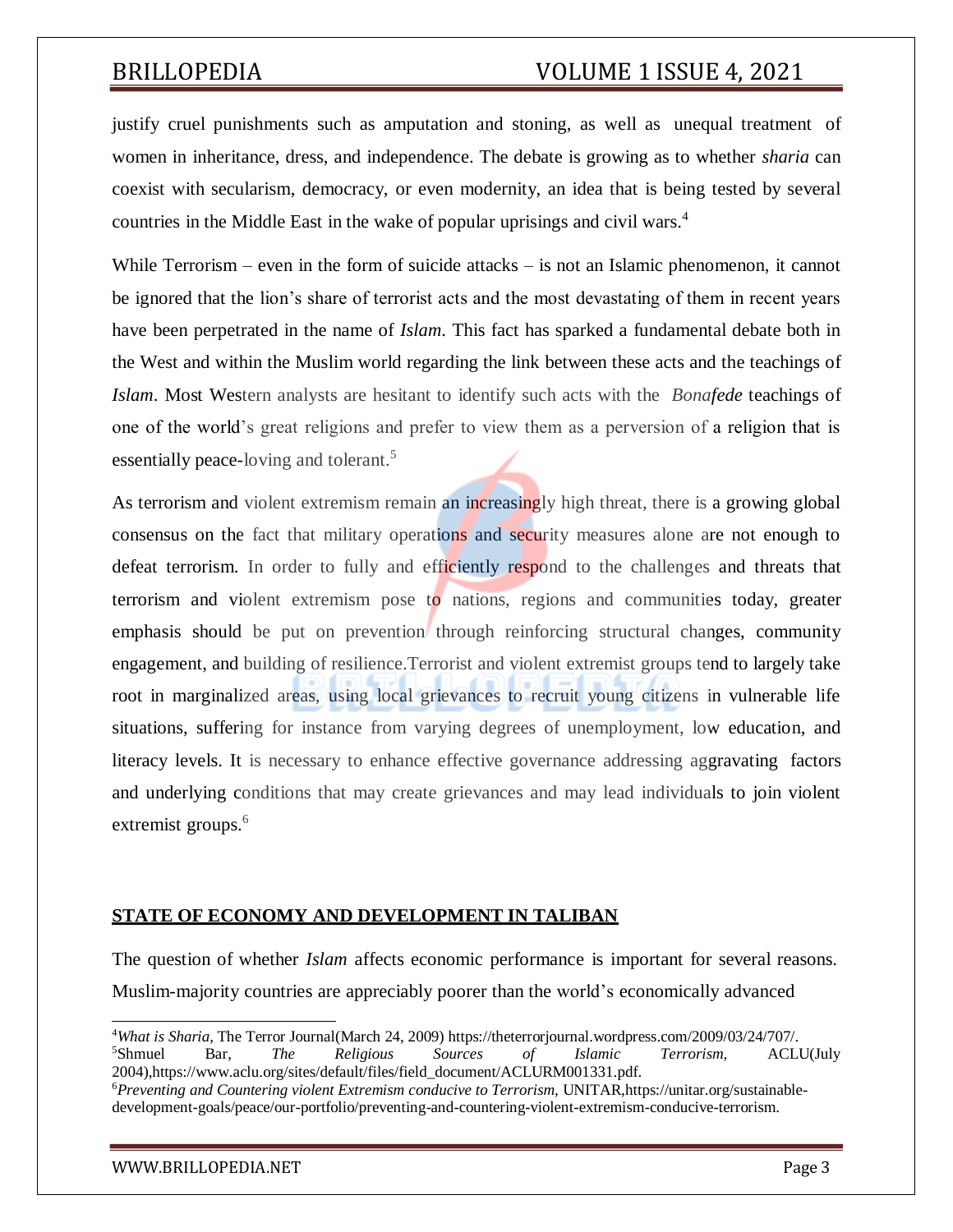justify cruel punishments such as amputation and stoning, as well as unequal treatment of women in inheritance, dress, and independence. The debate is growing as to whether *sharia* can coexist with secularism, democracy, or even modernity, an idea that is being tested by several countries in the Middle East in the wake of popular uprisings and civil wars.<sup>4</sup>

While Terrorism – even in the form of suicide attacks – is not an Islamic phenomenon, it cannot be ignored that the lion's share of terrorist acts and the most devastating of them in recent years have been perpetrated in the name of *Islam*. This fact has sparked a fundamental debate both in the West and within the Muslim world regarding the link between these acts and the teachings of *Islam*. Most Western analysts are hesitant to identify such acts with the *Bonafede* teachings of one of the world's great religions and prefer to view them as a perversion of a religion that is essentially peace-loving and tolerant.<sup>5</sup>

As terrorism and violent extremism remain an increasingly high threat, there is a growing global consensus on the fact that military operations and security measures alone are not enough to defeat terrorism. In order to fully and efficiently respond to the challenges and threats that terrorism and violent extremism pose to nations, regions and communities today, greater emphasis should be put on prevention through reinforcing structural changes, community engagement, and building of resilience.Terrorist and violent extremist groups tend to largely take root in marginalized areas, using local grievances to recruit young citizens in vulnerable life situations, suffering for instance from varying degrees of unemployment, low education, and literacy levels. It is necessary to enhance effective governance addressing aggravating factors and underlying conditions that may create grievances and may lead individuals to join violent extremist groups.<sup>6</sup>

### **STATE OF ECONOMY AND DEVELOPMENT IN TALIBAN**

The question of whether *Islam* affects economic performance is important for several reasons. Muslim-majority countries are appreciably poorer than the world's economically advanced

<sup>4</sup>*What is Sharia,* The Terror Journal(March 24, 2009) https://theterrorjournal.wordpress.com/2009/03/24/707/. <sup>5</sup>Shmuel Bar, *The Religious Sources of Islamic Terrorism,* ACLU(July 2004),https:[//www.aclu.org/sites/default/files/field\\_document/ACLURM001331.pdf.](http://www.aclu.org/sites/default/files/field_document/ACLURM001331.pdf) <sup>6</sup>*Preventing and Countering violent Extremism conducive to Terrorism,* UNITAR,https://unitar.org/sustainabledevelopment-goals/peace/our-portfolio/preventing-and-countering-violent-extremism-conducive-terrorism.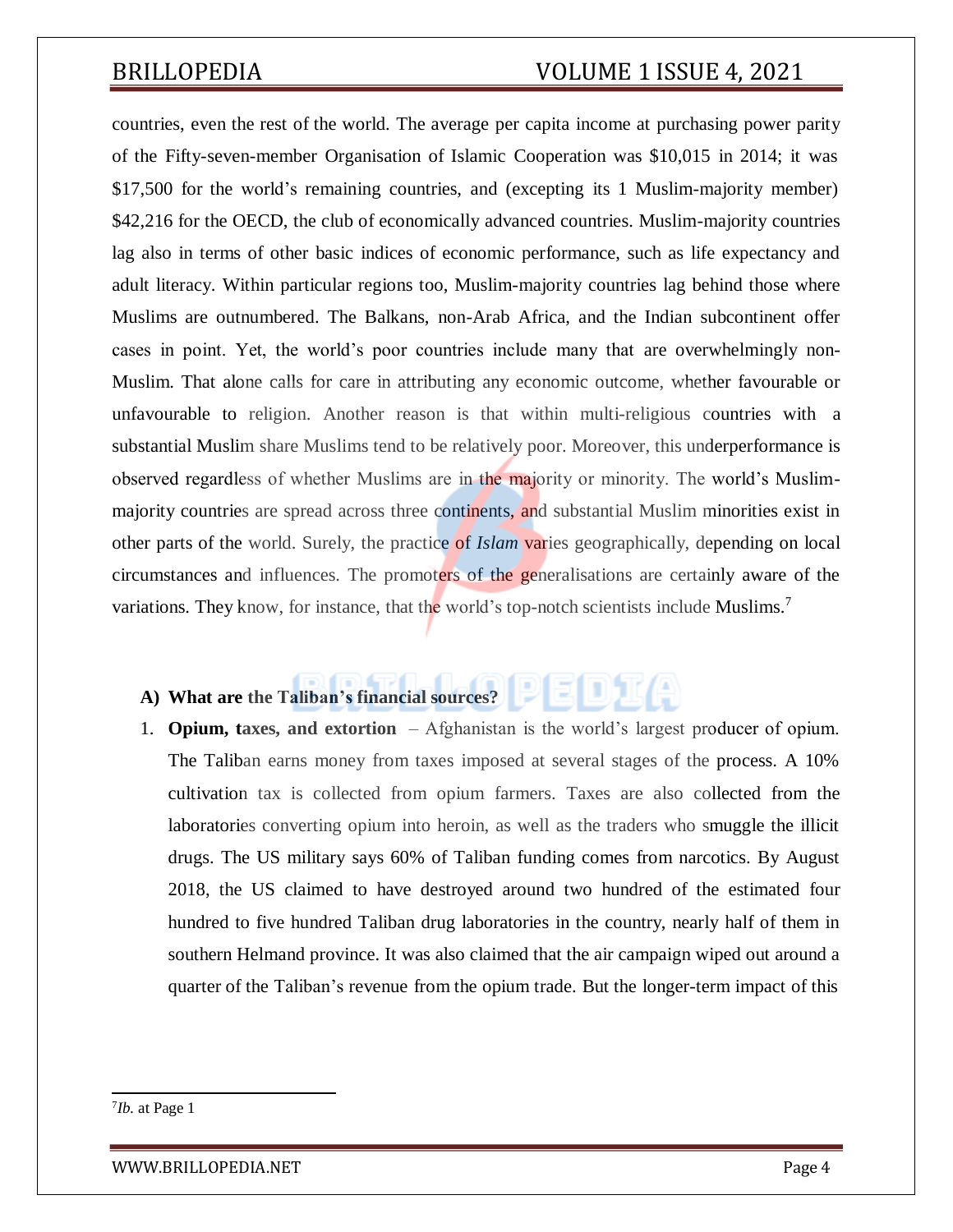countries, even the rest of the world. The average per capita income at purchasing power parity of the Fifty-seven-member Organisation of Islamic Cooperation was \$10,015 in 2014; it was \$17,500 for the world's remaining countries, and (excepting its 1 Muslim-majority member) \$42,216 for the OECD, the club of economically advanced countries. Muslim-majority countries lag also in terms of other basic indices of economic performance, such as life expectancy and adult literacy. Within particular regions too, Muslim-majority countries lag behind those where Muslims are outnumbered. The Balkans, non-Arab Africa, and the Indian subcontinent offer cases in point. Yet, the world's poor countries include many that are overwhelmingly non-Muslim. That alone calls for care in attributing any economic outcome, whether favourable or unfavourable to religion. Another reason is that within multi-religious countries with a substantial Muslim share Muslims tend to be relatively poor. Moreover, this underperformance is observed regardless of whether Muslims are in the majority or minority. The world's Muslimmajority countries are spread across three continents, and substantial Muslim minorities exist in other parts of the world. Surely, the practice of *Islam* varies geographically, depending on local circumstances and influences. The promoters of the generalisations are certainly aware of the variations. They know, for instance, that the world's top-notch scientists include Muslims.<sup>7</sup>

### **A) What are the Taliban's financial sources?**

1. **Opium, taxes, and extortion** *–* Afghanistan is the world's largest producer of opium. The Taliban earns money from taxes imposed at several stages of the process. A 10% cultivation tax is collected from opium farmers. Taxes are also collected from the laboratories converting opium into heroin, as well as the traders who smuggle the illicit drugs. The US military says 60% of Taliban funding comes from narcotics. By August 2018, the US claimed to have destroyed around two hundred of the estimated four hundred to five hundred Taliban drug laboratories in the country, nearly half of them in southern Helmand province. It was also claimed that the air campaign wiped out around a quarter of the Taliban's revenue from the opium trade. But the longer-term impact of this

[WWW.BRILLOPEDIA.NET](http://www.brillopedia.net/)

<sup>7</sup> *Ib.* at Page 1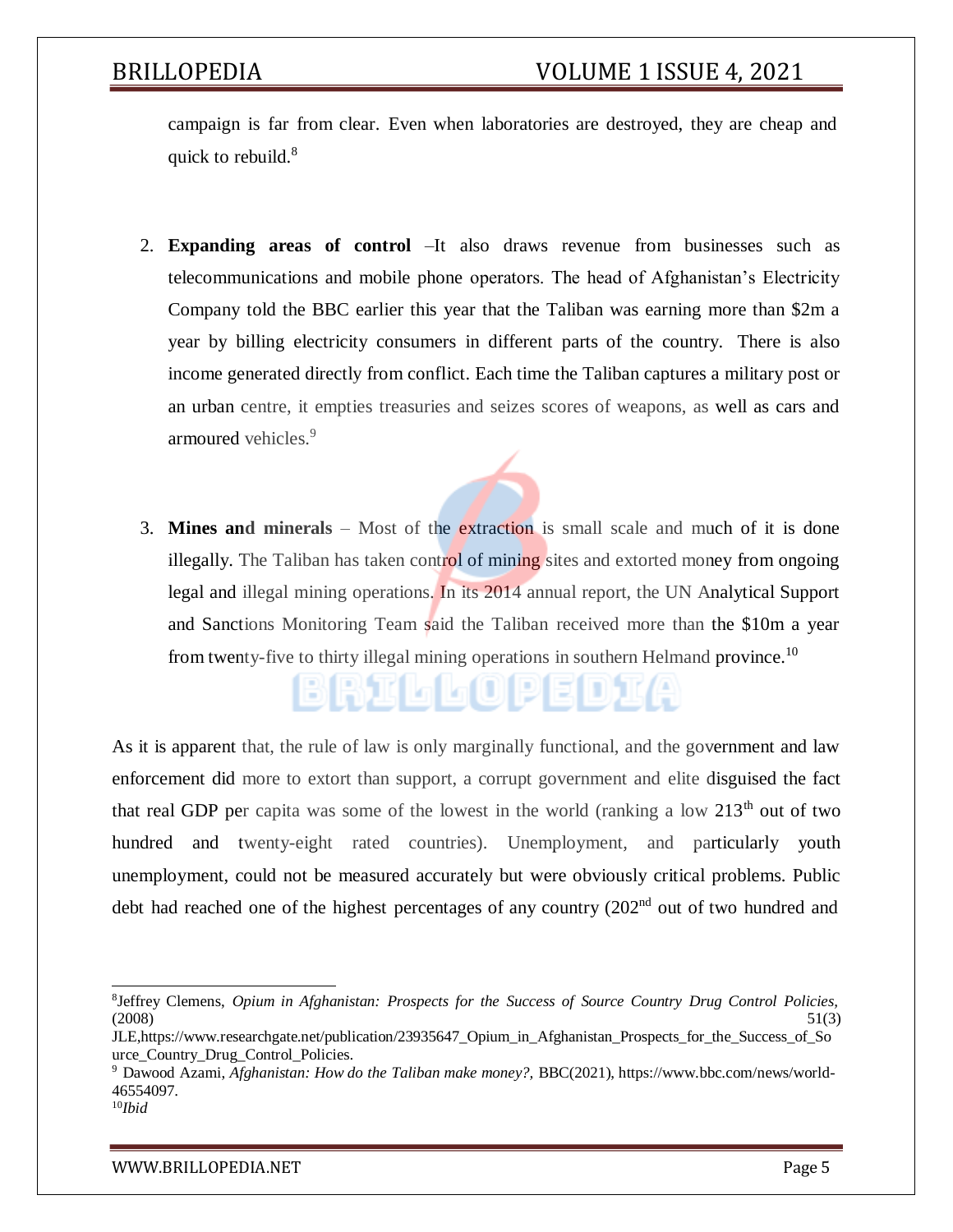campaign is far from clear. Even when laboratories are destroyed, they are cheap and quick to rebuild.<sup>8</sup>

- 2. **Expanding areas of control** *–*It also draws revenue from businesses such as telecommunications and mobile phone operators. The head of Afghanistan's Electricity Company told the BBC earlier this year that the Taliban was earning more than \$2m a year by billing electricity consumers in different parts of the country. There is also income generated directly from conflict. Each time the Taliban captures a military post or an urban centre, it empties treasuries and seizes scores of weapons, as well as cars and armoured vehicles.<sup>9</sup>
- 3. **Mines and minerals** *–* Most of the extraction is small scale and much of it is done illegally. The Taliban has taken control of mining sites and extorted money from ongoing legal and illegal mining operations. In its 2014 annual report, the UN Analytical Support and Sanctions Monitoring Team said the Taliban received more than the \$10m a year from twenty-five to thirty illegal mining operations in southern Helmand province.<sup>10</sup>

BRIDOPEDIA

As it is apparent that, the rule of law is only marginally functional, and the government and law enforcement did more to extort than support, a corrupt government and elite disguised the fact that real GDP per capita was some of the lowest in the world (ranking a low  $213<sup>th</sup>$  out of two hundred and twenty-eight rated countries). Unemployment, and particularly youth unemployment, could not be measured accurately but were obviously critical problems. Public debt had reached one of the highest percentages of any country (202<sup>nd</sup> out of two hundred and

<sup>8</sup> Jeffrey Clemens, *Opium in Afghanistan: Prospects for the Success of Source Country Drug Control Policies,*  $(2008)$  51(3)

JLE,https:/[/www.researchgate.net/publication/23935647\\_Opium\\_in\\_Afghanistan\\_Prospects\\_for\\_the\\_Success\\_of\\_So](http://www.researchgate.net/publication/23935647_Opium_in_Afghanistan_Prospects_for_the_Success_of_So) urce Country Drug Control Policies.

<sup>9</sup> Dawood Azami, *Afghanistan: How do the Taliban make money?,* BBC(2021), https:/[/www.bbc.com/news/world-](http://www.bbc.com/news/world-)46554097.

<sup>10</sup>*Ibid*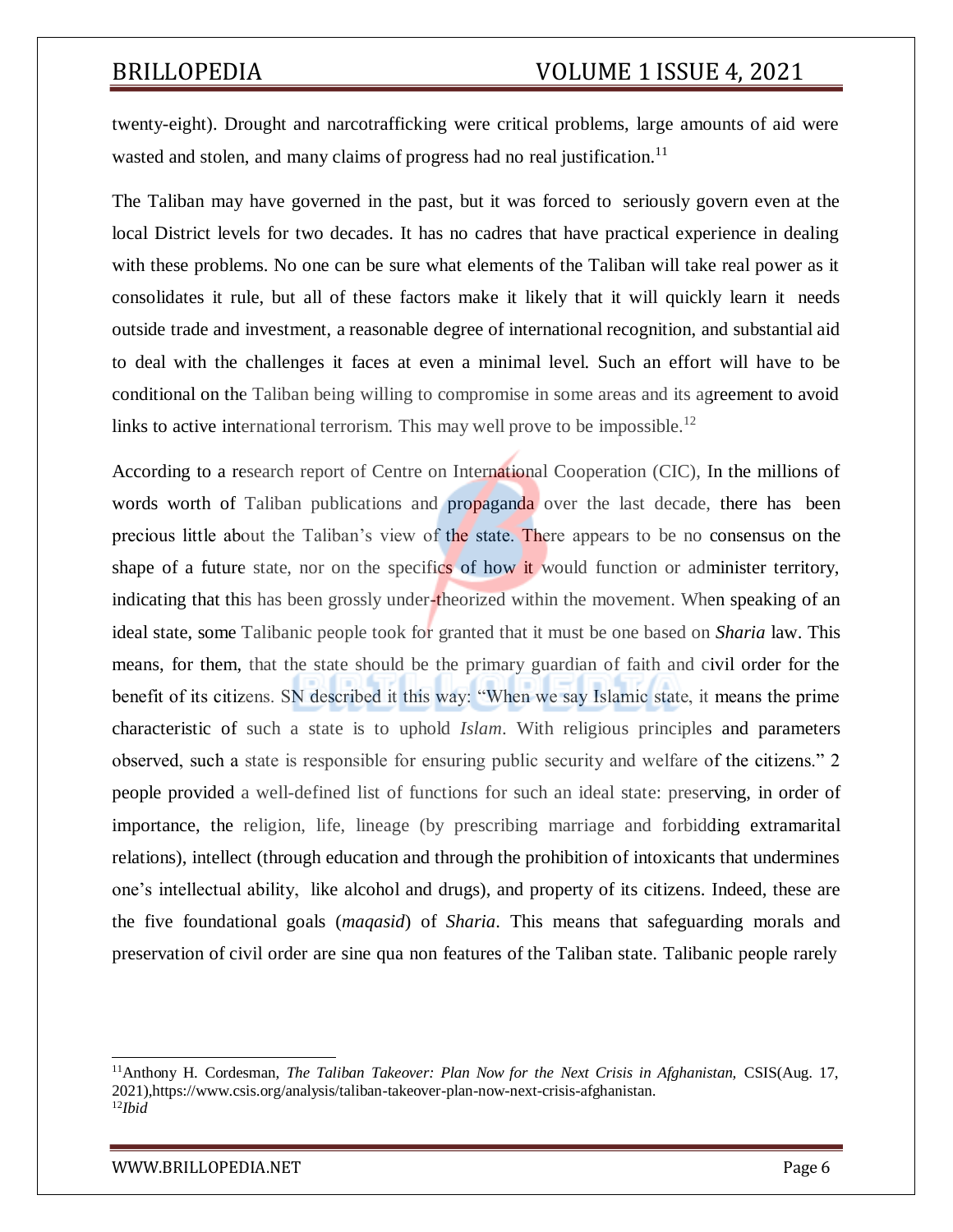twenty-eight). Drought and narcotrafficking were critical problems, large amounts of aid were wasted and stolen, and many claims of progress had no real justification.<sup>11</sup>

The Taliban may have governed in the past, but it was forced to seriously govern even at the local District levels for two decades. It has no cadres that have practical experience in dealing with these problems. No one can be sure what elements of the Taliban will take real power as it consolidates it rule, but all of these factors make it likely that it will quickly learn it needs outside trade and investment, a reasonable degree of international recognition, and substantial aid to deal with the challenges it faces at even a minimal level. Such an effort will have to be conditional on the Taliban being willing to compromise in some areas and its agreement to avoid links to active international terrorism. This may well prove to be impossible.<sup>12</sup>

According to a research report of Centre on International Cooperation (CIC), In the millions of words worth of Taliban publications and propaganda over the last decade, there has been precious little about the Taliban's view of the state. There appears to be no consensus on the shape of a future state, nor on the specifics of how it would function or administer territory, indicating that this has been grossly under-theorized within the movement. When speaking of an ideal state, some Talibanic people took for granted that it must be one based on *Sharia* law. This means, for them, that the state should be the primary guardian of faith and civil order for the benefit of its citizens. SN described it this way: "When we say Islamic state, it means the prime characteristic of such a state is to uphold *Islam*. With religious principles and parameters observed, such a state is responsible for ensuring public security and welfare of the citizens." 2 people provided a well-defined list of functions for such an ideal state: preserving, in order of importance, the religion, life, lineage (by prescribing marriage and forbidding extramarital relations), intellect (through education and through the prohibition of intoxicants that undermines one's intellectual ability, like alcohol and drugs), and property of its citizens. Indeed, these are the five foundational goals (*maqasid*) of *Sharia*. This means that safeguarding morals and preservation of civil order are sine qua non features of the Taliban state. Talibanic people rarely

[WWW.BRILLOPEDIA.NET](http://www.brillopedia.net/)

<sup>11</sup>Anthony H. Cordesman, *The Taliban Takeover: Plan Now for the Next Crisis in Afghanistan,* CSIS(Aug. 17, 2021),https:[//www.csis.org/analysis/taliban-takeover-plan-now-next-crisis-afghanistan.](http://www.csis.org/analysis/taliban-takeover-plan-now-next-crisis-afghanistan) 12*Ibid*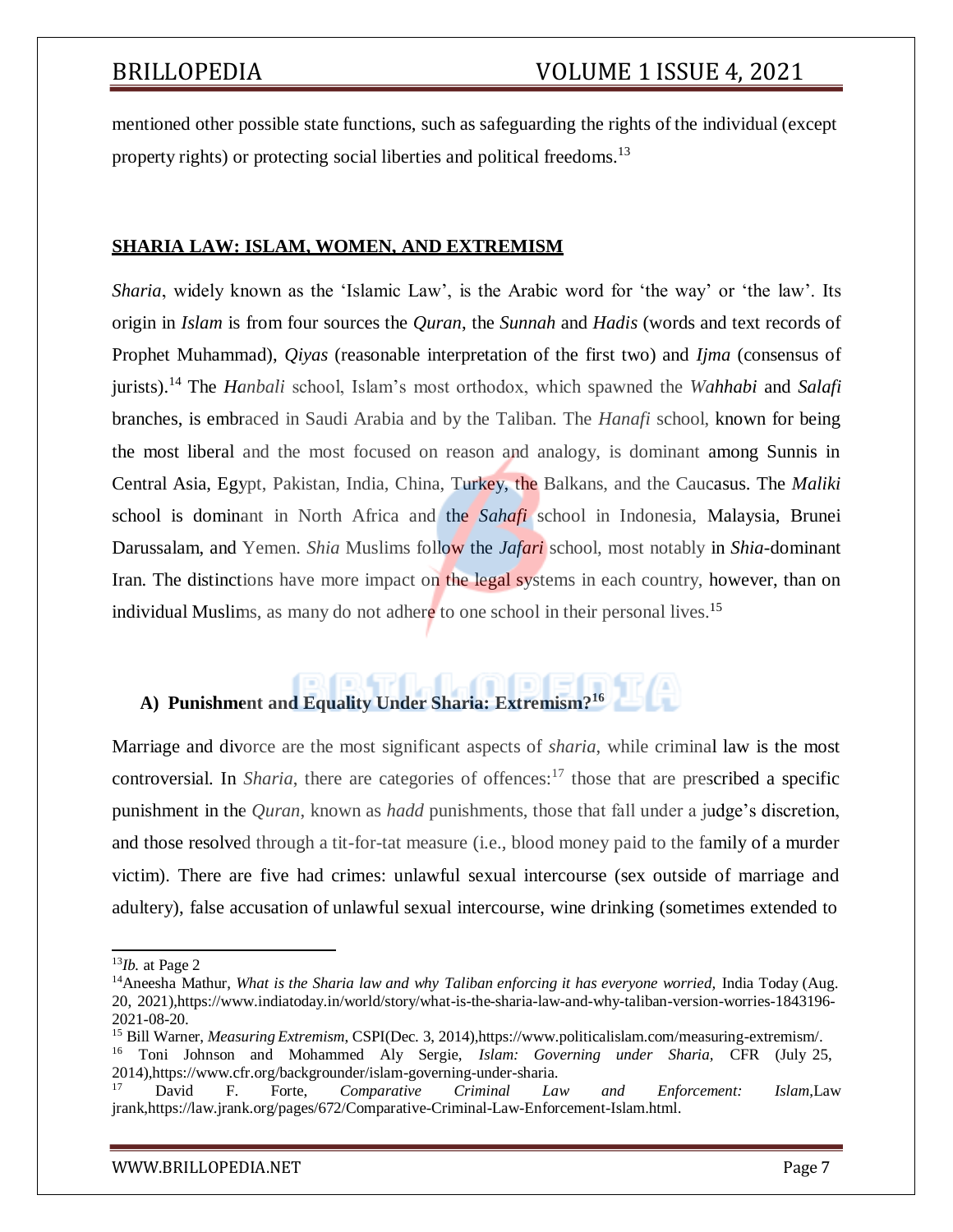mentioned other possible state functions, such as safeguarding the rights of the individual (except property rights) or protecting social liberties and political freedoms.<sup>13</sup>

### **SHARIA LAW: ISLAM, WOMEN, AND EXTREMISM**

*Sharia*, widely known as the 'Islamic Law', is the Arabic word for 'the way' or 'the law'. Its origin in *Islam* is from four sources the *Quran*, the *Sunnah* and *Hadis* (words and text records of Prophet Muhammad), *Qiyas* (reasonable interpretation of the first two) and *Ijma* (consensus of jurists).<sup>14</sup> The *Hanbali* school, Islam's most orthodox, which spawned the *Wahhabi* and *Salafi* branches, is embraced in Saudi Arabia and by the Taliban. The *Hanafi* school, known for being the most liberal and the most focused on reason and analogy, is dominant among Sunnis in Central Asia, Egypt, Pakistan, India, China, Turkey, the Balkans, and the Caucasus. The *Maliki* school is dominant in North Africa and the *Sahafi* school in Indonesia, Malaysia, Brunei Darussalam, and Yemen. *Shia* Muslims follow the *Jafari* school, most notably in *Shia*-dominant Iran. The distinctions have more impact on the legal systems in each country, however, than on individual Muslims, as many do not adhere to one school in their personal lives.<sup>15</sup>

# **A) Punishment and Equality Under Sharia: Extremism?<sup>16</sup>**

Marriage and divorce are the most significant aspects of *sharia*, while criminal law is the most controversial. In *Sharia*, there are categories of offences:<sup>17</sup> those that are prescribed a specific punishment in the *Quran*, known as *hadd* punishments, those that fall under a judge's discretion, and those resolved through a tit-for-tat measure (i.e., blood money paid to the family of a murder victim). There are five had crimes: unlawful sexual intercourse (sex outside of marriage and adultery), false accusation of unlawful sexual intercourse, wine drinking (sometimes extended to

<sup>13</sup>*Ib.* at Page 2

<sup>14</sup>Aneesha Mathur, *What is the Sharia law and why Taliban enforcing it has everyone worried,* India Today (Aug. 20, 2021),https:[//www.indiatoday.in/world/story/what-is-the-sharia-law-and-why-taliban-version-worries-1843196-](http://www.indiatoday.in/world/story/what-is-the-sharia-law-and-why-taliban-version-worries-1843196-) 2021-08-20.

<sup>15</sup> Bill Warner, *Measuring Extremism*, CSPI(Dec. 3, 2014),https:/[/www.politicalislam.com/measuring-extremism/.](http://www.politicalislam.com/measuring-extremism/) <sup>16</sup> Toni Johnson and Mohammed Aly Sergie, *Islam: Governing under Sharia,* CFR (July 25, 2014),https:[//www.cfr.org/backgrounder/islam-governing-under-sharia.](http://www.cfr.org/backgrounder/islam-governing-under-sharia)

<sup>17</sup> David F. Forte, *Comparative Criminal Law and Enforcement: Islam*,Law jrank,https://law.jrank.org/pages/672/Comparative-Criminal-Law-Enforcement-Islam.html.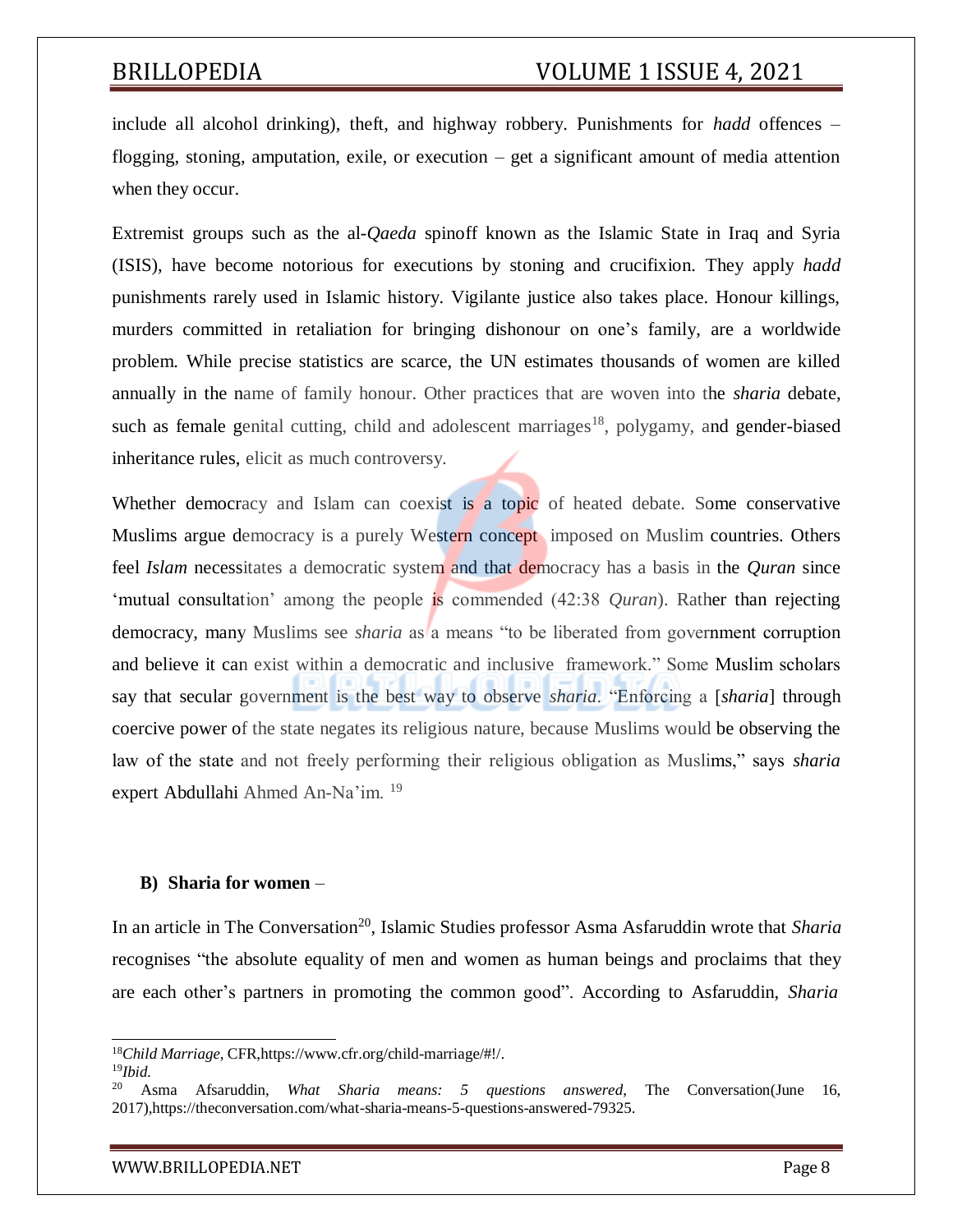include all alcohol drinking), theft, and highway robbery. Punishments for *hadd* offences – flogging, stoning, amputation, exile, or execution – get a significant amount of media attention when they occur.

Extremist groups such as the al-*Qaeda* spinoff known as the Islamic State in Iraq and Syria (ISIS), have become notorious for executions by stoning and crucifixion. They apply *hadd* punishments rarely used in Islamic history. Vigilante justice also takes place. Honour killings, murders committed in retaliation for bringing dishonour on one's family, are a worldwide problem. While precise statistics are scarce, the UN estimates thousands of women are killed annually in the name of family honour. Other practices that are woven into the *sharia* debate, such as female genital cutting, child and adolescent marriages<sup>18</sup>, polygamy, and gender-biased inheritance rules, elicit as much controversy.

Whether democracy and Islam can coexist is a topic of heated debate. Some conservative Muslims argue democracy is a purely Western concept imposed on Muslim countries. Others feel *Islam* necessitates a democratic system and that democracy has a basis in the *Quran* since 'mutual consultation' among the people is commended (42:38 *Quran*). Rather than rejecting democracy, many Muslims see *sharia* as a means "to be liberated from government corruption and believe it can exist within a democratic and inclusive framework." Some Muslim scholars say that secular government is the best way to observe *sharia*. "Enforcing a [*sharia*] through coercive power of the state negates its religious nature, because Muslims would be observing the law of the state and not freely performing their religious obligation as Muslims," says *sharia* expert Abdullahi Ahmed An-Na'im. <sup>19</sup>

### **B) Sharia for women** –

In an article in The Conversation<sup>20</sup>, Islamic Studies professor Asma Asfaruddin wrote that *Sharia* recognises "the absolute equality of men and women as human beings and proclaims that they are each other's partners in promoting the common good". According to Asfaruddin, *Sharia*

[WWW.BRILLOPEDIA.NET](http://www.brillopedia.net/)

<sup>18</sup>*Child Marriage*, CFR,https:/[/www.cfr.org/child-marriage/#!/.](http://www.cfr.org/child-marriage/%23!/)

<sup>19</sup>*Ibid.*

<sup>20</sup> Asma Afsaruddin, *What Sharia means: 5 questions answered*, The Conversation(June 16, 2017),https://theconversation.com/what-sharia-means-5-questions-answered-79325.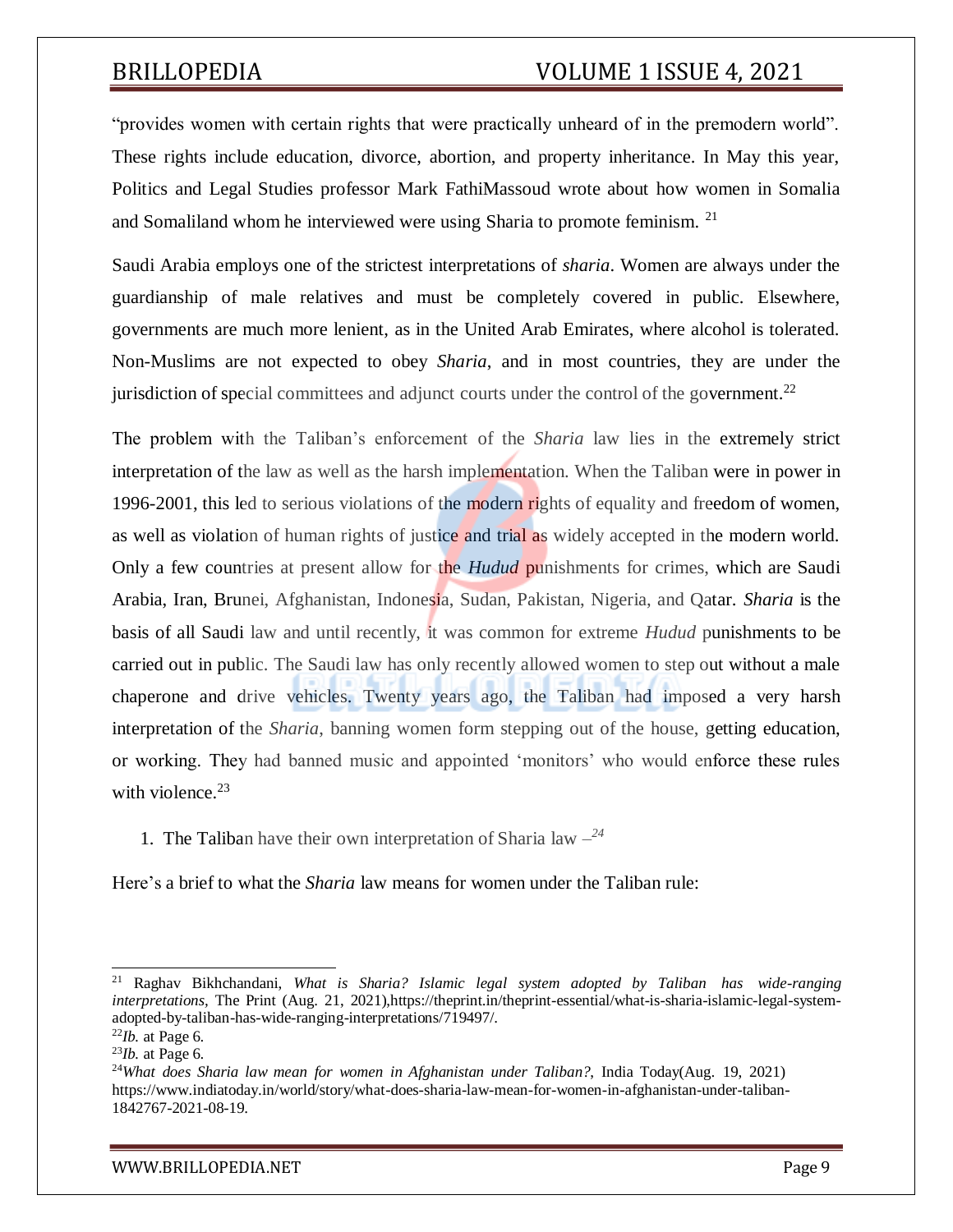"provides women with certain rights that were practically unheard of in the premodern world". These rights include education, divorce, abortion, and property inheritance. In May this year, Politics and Legal Studies professor Mark FathiMassoud wrote about how women in Somalia and Somaliland whom he interviewed were using Sharia to promote feminism. <sup>21</sup>

Saudi Arabia employs one of the strictest interpretations of *sharia*. Women are always under the guardianship of male relatives and must be completely covered in public. Elsewhere, governments are much more lenient, as in the United Arab Emirates, where alcohol is tolerated. Non-Muslims are not expected to obey *Sharia*, and in most countries, they are under the jurisdiction of special committees and adjunct courts under the control of the government.<sup>22</sup>

The problem with the Taliban's enforcement of the *Sharia* law lies in the extremely strict interpretation of the law as well as the harsh implementation. When the Taliban were in power in 1996-2001, this led to serious violations of the modern rights of equality and freedom of women, as well as violation of human rights of justice and trial as widely accepted in the modern world. Only a few countries at present allow for the *Hudud* punishments for crimes, which are Saudi Arabia, Iran, Brunei, Afghanistan, Indonesia, Sudan, Pakistan, Nigeria, and Qatar. *Sharia* is the basis of all Saudi law and until recently, it was common for extreme *Hudud* punishments to be carried out in public. The Saudi law has only recently allowed women to step out without a male chaperone and drive vehicles. Twenty years ago, the Taliban had imposed a very harsh interpretation of the *Sharia*, banning women form stepping out of the house, getting education, or working. They had banned music and appointed 'monitors' who would enforce these rules with violence. $23$ 

1. The Taliban have their own interpretation of Sharia law *– 24*

Here's a brief to what the *Sharia* law means for women under the Taliban rule:

[WWW.BRILLOPEDIA.NET](http://www.brillopedia.net/) FOR A SERVICE OF THE PAGE 9.1 AND THE PAGE 9.1 AND THE PAGE 9.1

<sup>21</sup> Raghav Bikhchandani, *What is Sharia? Islamic legal system adopted by Taliban has wide-ranging interpretations,* The Print (Aug. 21, 2021),https://theprint.in/theprint-essential/what-is-sharia-islamic-legal-systemadopted-by-taliban-has-wide-ranging-interpretations/719497/.

<sup>22</sup>*Ib.* at Page 6.

<sup>23</sup>*Ib.* at Page 6.

<sup>24</sup>*What does Sharia law mean for women in Afghanistan under Taliban?*, India Today(Aug. 19, 2021) https:/[/www.indiatoday.in/world/story/what-does-sharia-law-mean-for-women-in-afghanistan-under-taliban-](http://www.indiatoday.in/world/story/what-does-sharia-law-mean-for-women-in-afghanistan-under-taliban-)1842767-2021-08-19.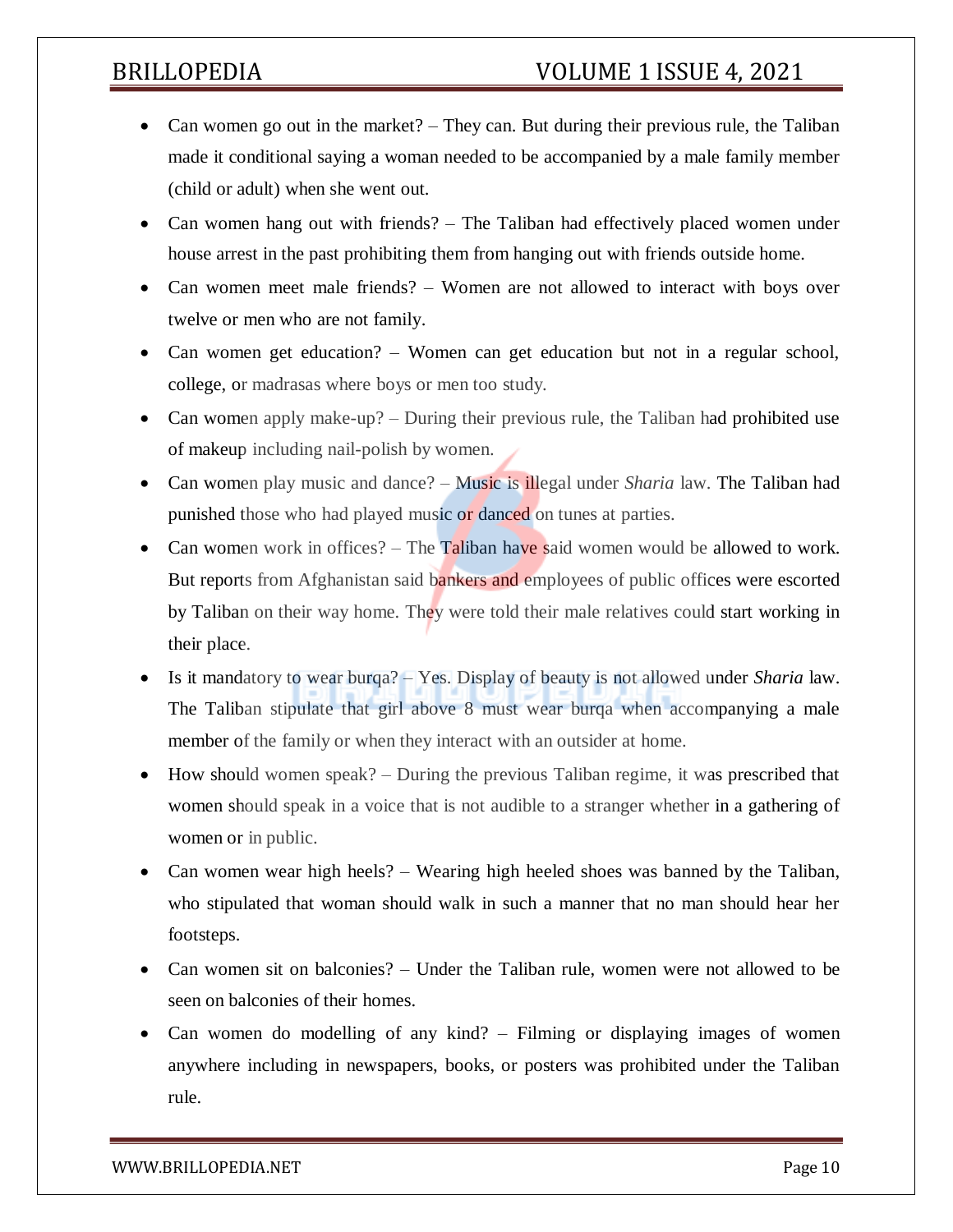- Can women go out in the market? They can. But during their previous rule, the Taliban made it conditional saying a woman needed to be accompanied by a male family member (child or adult) when she went out.
- Can women hang out with friends? The Taliban had effectively placed women under house arrest in the past prohibiting them from hanging out with friends outside home.
- Can women meet male friends? Women are not allowed to interact with boys over twelve or men who are not family.
- Can women get education? Women can get education but not in a regular school, college, or madrasas where boys or men too study.
- Can women apply make-up? During their previous rule, the Taliban had prohibited use of makeup including nail-polish by women.
- Can women play music and dance? Music is illegal under *Sharia* law. The Taliban had punished those who had played music or danced on tunes at parties.
- Can women work in offices? The Taliban have said women would be allowed to work. But reports from Afghanistan said bankers and employees of public offices were escorted by Taliban on their way home. They were told their male relatives could start working in their place.
- Is it mandatory to wear burqa? Yes. Display of beauty is not allowed under *Sharia* law. The Taliban stipulate that girl above 8 must wear burqa when accompanying a male member of the family or when they interact with an outsider at home.
- How should women speak? During the previous Taliban regime, it was prescribed that women should speak in a voice that is not audible to a stranger whether in a gathering of women or in public.
- Can women wear high heels? Wearing high heeled shoes was banned by the Taliban, who stipulated that woman should walk in such a manner that no man should hear her footsteps.
- Can women sit on balconies? Under the Taliban rule, women were not allowed to be seen on balconies of their homes.
- Can women do modelling of any kind? Filming or displaying images of women anywhere including in newspapers, books, or posters was prohibited under the Taliban rule.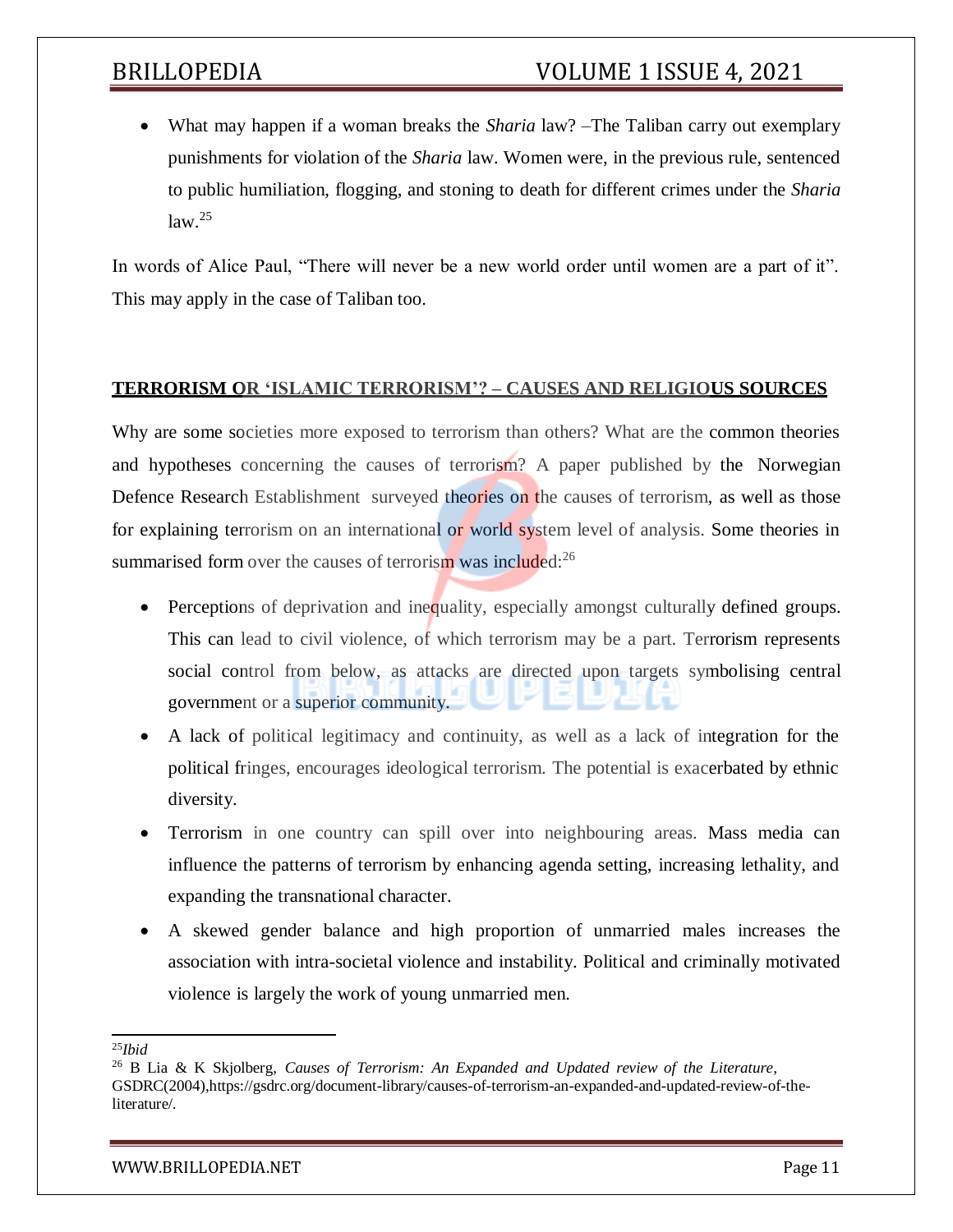What may happen if a woman breaks the *Sharia* law? –The Taliban carry out exemplary punishments for violation of the *Sharia* law. Women were, in the previous rule, sentenced to public humiliation, flogging, and stoning to death for different crimes under the *Sharia*  $law<sup>25</sup>$ 

In words of Alice Paul, "There will never be a new world order until women are a part of it". This may apply in the case of Taliban too.

### **TERRORISM OR 'ISLAMIC TERRORISM'? – CAUSES AND RELIGIOUS SOURCES**

Why are some societies more exposed to terrorism than others? What are the common theories and hypotheses concerning the causes of terrorism? A paper published by the Norwegian Defence Research Establishment surveyed theories on the causes of terrorism, as well as those for explaining terrorism on an international or world system level of analysis. Some theories in summarised form over the causes of terrorism was included:<sup>26</sup>

- Perceptions of deprivation and inequality, especially amongst culturally defined groups. This can lead to civil violence, of which terrorism may be a part. Terrorism represents social control from below, as attacks are directed upon targets symbolising central government or a superior community.
- A lack of political legitimacy and continuity, as well as a lack of integration for the political fringes, encourages ideological terrorism. The potential is exacerbated by ethnic diversity.
- Terrorism in one country can spill over into neighbouring areas. Mass media can influence the patterns of terrorism by enhancing agenda setting, increasing lethality, and expanding the transnational character.
- A skewed gender balance and high proportion of unmarried males increases the association with intra-societal violence and instability. Political and criminally motivated violence is largely the work of young unmarried men.

<sup>25</sup>*Ibid*

<sup>26</sup> B Lia & K Skjolberg, *Causes of Terrorism: An Expanded and Updated review of the Literature*, GSDRC(2004),https://gsdrc.org/document-library/causes-of-terrorism-an-expanded-and-updated-review-of-theliterature/.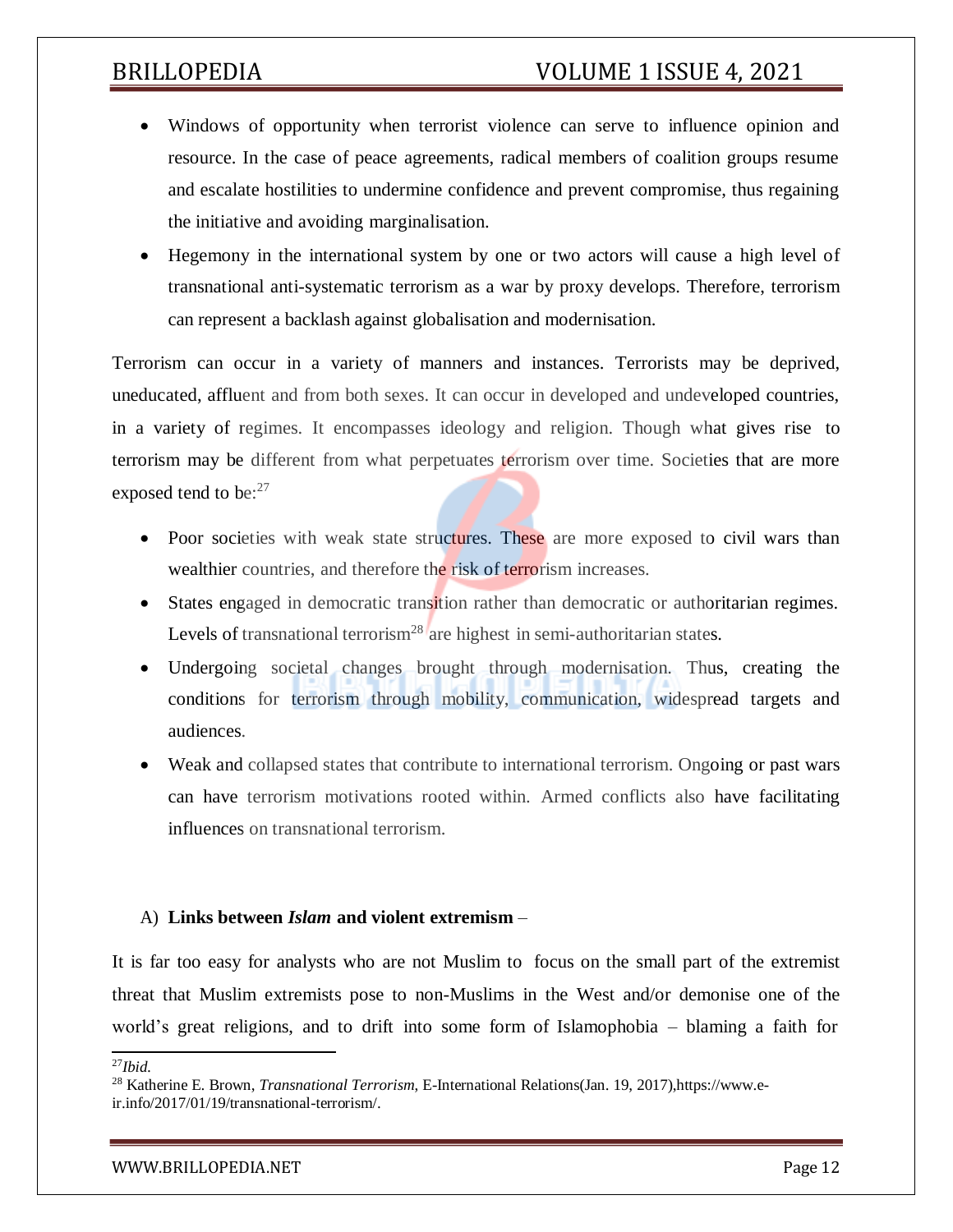- Windows of opportunity when terrorist violence can serve to influence opinion and resource. In the case of peace agreements, radical members of coalition groups resume and escalate hostilities to undermine confidence and prevent compromise, thus regaining the initiative and avoiding marginalisation.
- Hegemony in the international system by one or two actors will cause a high level of transnational anti-systematic terrorism as a war by proxy develops. Therefore, terrorism can represent a backlash against globalisation and modernisation.

Terrorism can occur in a variety of manners and instances. Terrorists may be deprived, uneducated, affluent and from both sexes. It can occur in developed and undeveloped countries, in a variety of regimes. It encompasses ideology and religion. Though what gives rise to terrorism may be different from what perpetuates terrorism over time. Societies that are more exposed tend to be:<sup>27</sup>

- Poor societies with weak state structures. These are more exposed to civil wars than wealthier countries, and therefore the risk of terrorism increases.
- States engaged in democratic transition rather than democratic or authoritarian regimes. Levels of transnational terrorism<sup>28</sup> are highest in semi-authoritarian states.
- Undergoing societal changes brought through modernisation. Thus, creating the conditions for terrorism through mobility, communication, widespread targets and audiences.
- Weak and collapsed states that contribute to international terrorism. Ongoing or past wars can have terrorism motivations rooted within. Armed conflicts also have facilitating influences on transnational terrorism.

### A) **Links between** *Islam* **and violent extremism** –

It is far too easy for analysts who are not Muslim to focus on the small part of the extremist threat that Muslim extremists pose to non-Muslims in the West and/or demonise one of the world's great religions, and to drift into some form of Islamophobia – blaming a faith for

<sup>27</sup>*Ibid.*

<sup>28</sup> Katherine E. Brown, *Transnational Terrorism*, E-International Relations(Jan. 19, 2017),https://www.eir.info/2017/01/19/transnational-terrorism/.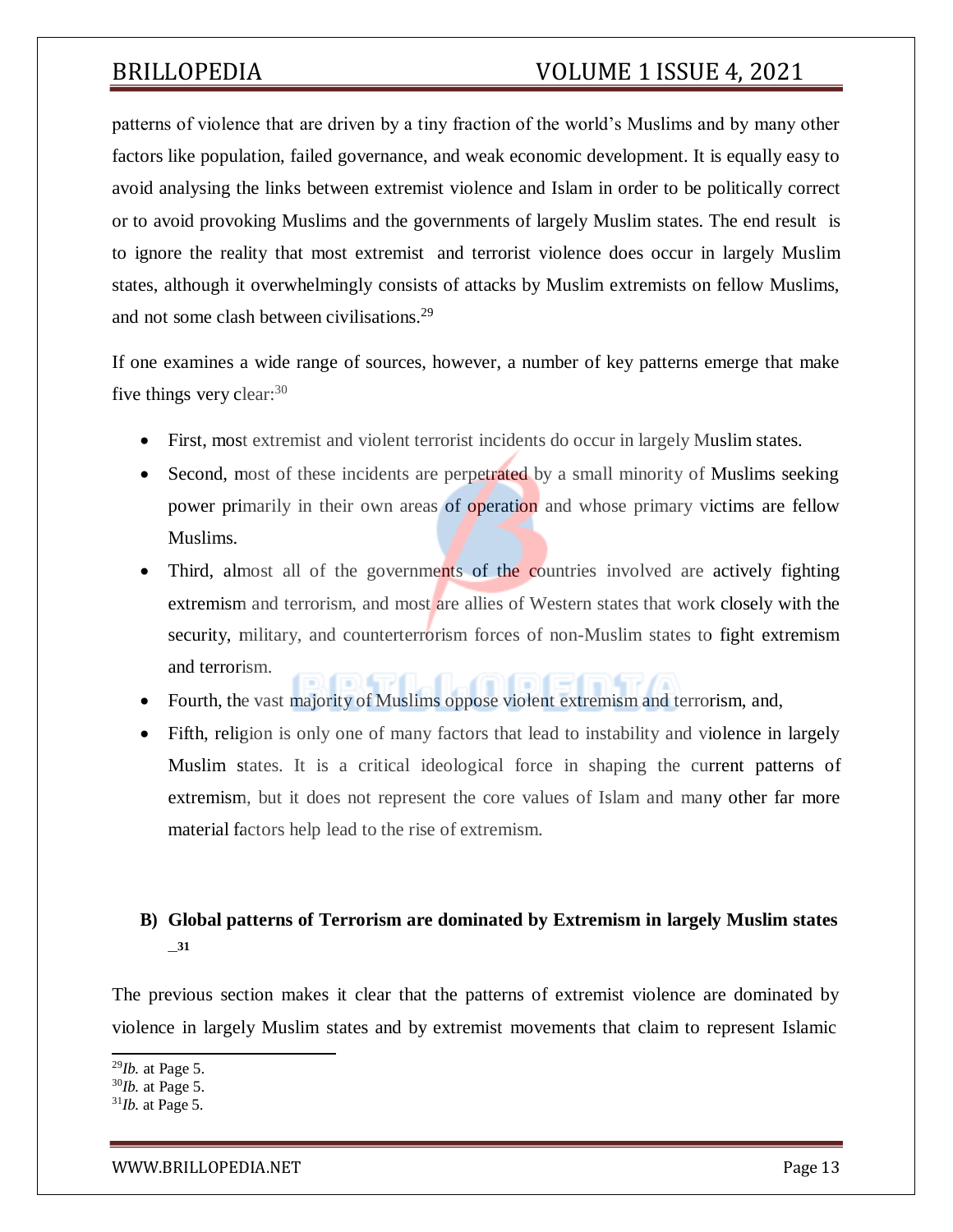patterns of violence that are driven by a tiny fraction of the world's Muslims and by many other factors like population, failed governance, and weak economic development. It is equally easy to avoid analysing the links between extremist violence and Islam in order to be politically correct or to avoid provoking Muslims and the governments of largely Muslim states. The end result is to ignore the reality that most extremist and terrorist violence does occur in largely Muslim states, although it overwhelmingly consists of attacks by Muslim extremists on fellow Muslims, and not some clash between civilisations.<sup>29</sup>

If one examines a wide range of sources, however, a number of key patterns emerge that make five things very clear:  $30$ 

- First, most extremist and violent terrorist incidents do occur in largely Muslim states.
- Second, most of these incidents are perpetrated by a small minority of Muslims seeking power primarily in their own areas of operation and whose primary victims are fellow Muslims.
- Third, almost all of the governments of the countries involved are actively fighting extremism and terrorism, and most are allies of Western states that work closely with the security, military, and counterterrorism forces of non-Muslim states to fight extremism and terrorism.
- Fourth, the vast majority of Muslims oppose violent extremism and terrorism, and,
- Fifth, religion is only one of many factors that lead to instability and violence in largely Muslim states. It is a critical ideological force in shaping the current patterns of extremism, but it does not represent the core values of Islam and many other far more material factors help lead to the rise of extremism.

## **B) Global patterns of Terrorism are dominated by Extremism in largely Muslim states** – **31**

The previous section makes it clear that the patterns of extremist violence are dominated by violence in largely Muslim states and by extremist movements that claim to represent Islamic

<sup>29</sup>*Ib.* at Page 5.

<sup>30</sup>*Ib.* at Page 5.

<sup>31</sup>*Ib.* at Page 5.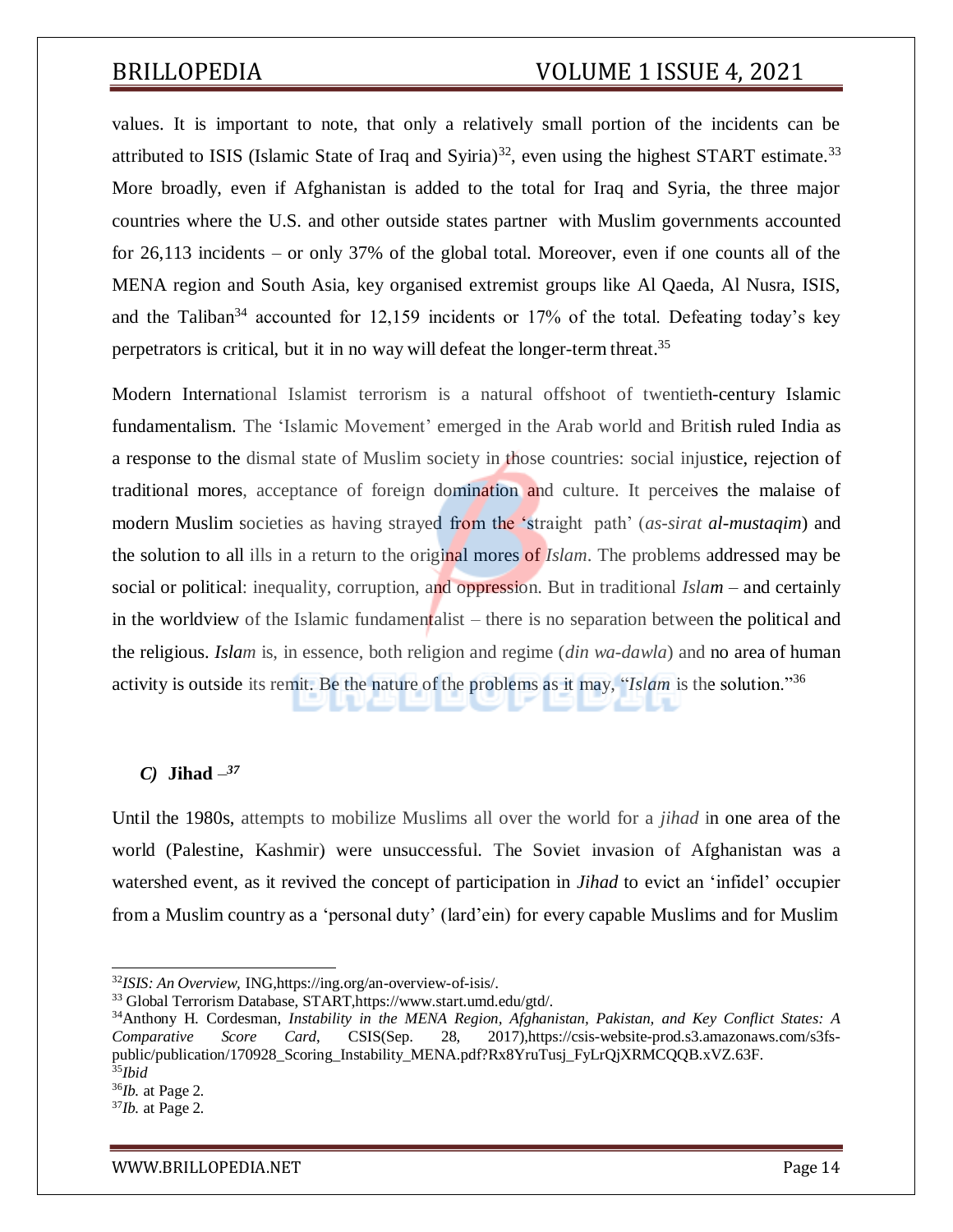values. It is important to note, that only a relatively small portion of the incidents can be attributed to ISIS (Islamic State of Iraq and Syiria)<sup>32</sup>, even using the highest START estimate.<sup>33</sup> More broadly, even if Afghanistan is added to the total for Iraq and Syria, the three major countries where the U.S. and other outside states partner with Muslim governments accounted for 26,113 incidents – or only 37% of the global total. Moreover, even if one counts all of the MENA region and South Asia, key organised extremist groups like Al Qaeda, Al Nusra, ISIS, and the Taliban<sup>34</sup> accounted for 12,159 incidents or 17% of the total. Defeating today's key perpetrators is critical, but it in no way will defeat the longer-term threat.<sup>35</sup>

Modern International Islamist terrorism is a natural offshoot of twentieth-century Islamic fundamentalism. The 'Islamic Movement' emerged in the Arab world and British ruled India as a response to the dismal state of Muslim society in those countries: social injustice, rejection of traditional mores, acceptance of foreign domination and culture. It perceives the malaise of modern Muslim societies as having strayed from the 'straight path' (*as-sirat al-mustaqim*) and the solution to all ills in a return to the original mores of *Islam*. The problems addressed may be social or political: inequality, corruption, and oppression. But in traditional *Islam* – and certainly in the worldview of the Islamic fundamentalist – there is no separation between the political and the religious. *Islam* is, in essence, both religion and regime (*din wa-dawla*) and no area of human activity is outside its remit. Be the nature of the problems as it may, "*Islam* is the solution."<sup>36</sup>

### *C)* **Jihad** *– 37*

Until the 1980s, attempts to mobilize Muslims all over the world for a *jihad* in one area of the world (Palestine, Kashmir) were unsuccessful. The Soviet invasion of Afghanistan was a watershed event, as it revived the concept of participation in *Jihad* to evict an 'infidel' occupier from a Muslim country as a 'personal duty' (lard'ein) for every capable Muslims and for Muslim

<sup>32</sup>*ISIS: An Overview,* ING,https://ing.org/an-overview-of-isis/.

<sup>33</sup> Global Terrorism Database, START,https:/[/www.start.umd.edu/gtd/.](http://www.start.umd.edu/gtd/)

<sup>34</sup>Anthony H. Cordesman, *Instability in the MENA Region, Afghanistan, Pakistan, and Key Conflict States: A Comparative Score Card*, CSIS(Sep. 28, 2017),https://csis-website-prod.s3.amazonaws.com/s3fspublic/publication/170928 Scoring Instability MENA.pdf?Rx8YruTusj FyLrQjXRMCQQB.xVZ.63F. <sup>35</sup>*Ibid*

<sup>36</sup>*Ib.* at Page 2.

<sup>37</sup>*Ib.* at Page 2.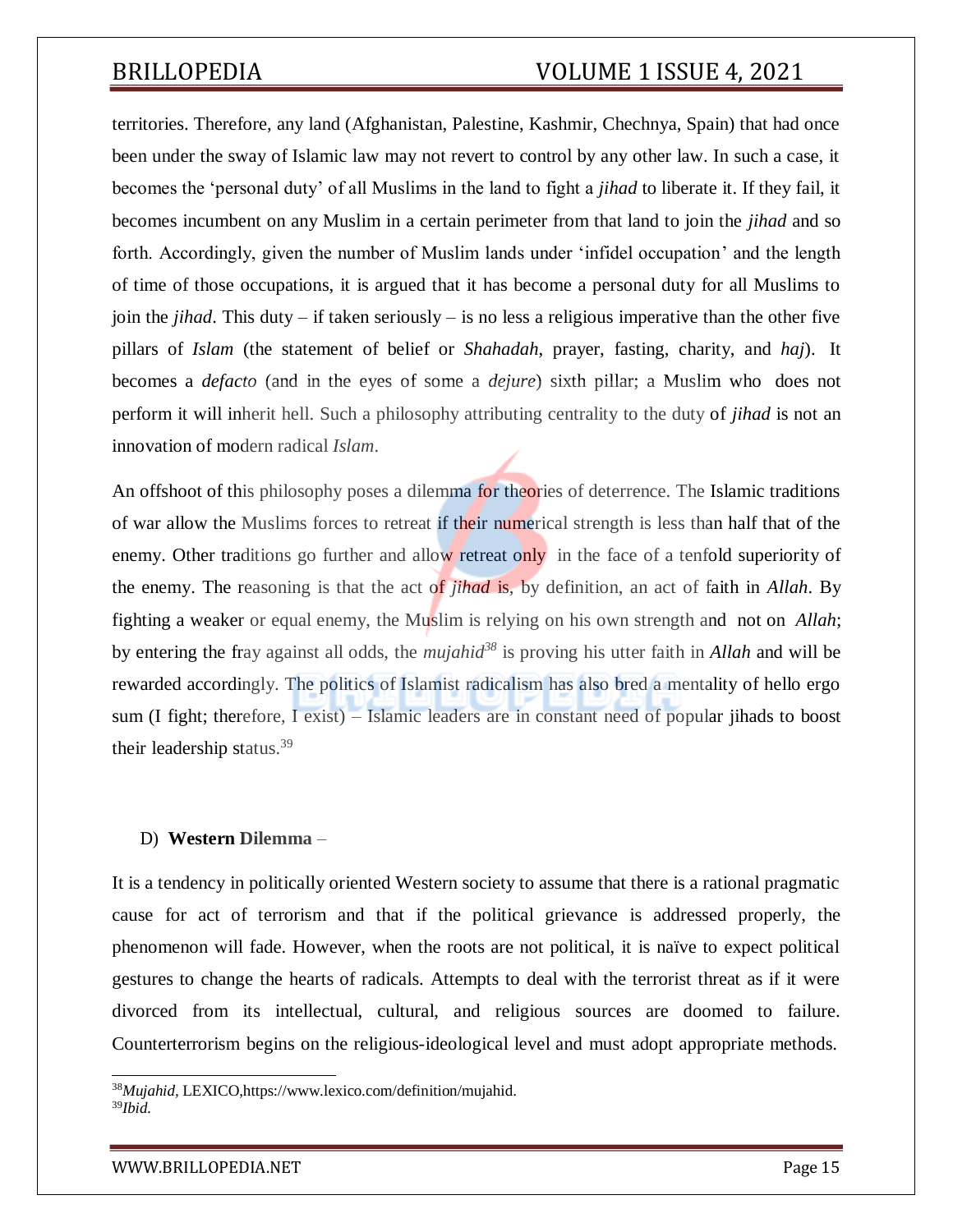territories. Therefore, any land (Afghanistan, Palestine, Kashmir, Chechnya, Spain) that had once been under the sway of Islamic law may not revert to control by any other law. In such a case, it becomes the 'personal duty' of all Muslims in the land to fight a *jihad* to liberate it. If they fail, it becomes incumbent on any Muslim in a certain perimeter from that land to join the *jihad* and so forth. Accordingly, given the number of Muslim lands under 'infidel occupation' and the length of time of those occupations, it is argued that it has become a personal duty for all Muslims to join the *jihad*. This duty – if taken seriously – is no less a religious imperative than the other five pillars of *Islam* (the statement of belief or *Shahadah*, prayer, fasting, charity, and *haj*). It becomes a *defacto* (and in the eyes of some a *dejure*) sixth pillar; a Muslim who does not perform it will inherit hell. Such a philosophy attributing centrality to the duty of *jihad* is not an innovation of modern radical *Islam*.

An offshoot of this philosophy poses a dilemma for theories of deterrence. The Islamic traditions of war allow the Muslims forces to retreat if their numerical strength is less than half that of the enemy. Other traditions go further and allow retreat only in the face of a tenfold superiority of the enemy. The reasoning is that the act of *jihad* is, by definition, an act of faith in *Allah*. By fighting a weaker or equal enemy, the Muslim is relying on his own strength and not on *Allah*; by entering the fray against all odds, the *mujahid<sup>38</sup>* is proving his utter faith in *Allah* and will be rewarded accordingly. The politics of Islamist radicalism has also bred a mentality of hello ergo sum (I fight; therefore, I exist) – Islamic leaders are in constant need of popular jihads to boost their leadership status. $39$ 

### D) **Western Dilemma** –

It is a tendency in politically oriented Western society to assume that there is a rational pragmatic cause for act of terrorism and that if the political grievance is addressed properly, the phenomenon will fade. However, when the roots are not political, it is naïve to expect political gestures to change the hearts of radicals. Attempts to deal with the terrorist threat as if it were divorced from its intellectual, cultural, and religious sources are doomed to failure. Counterterrorism begins on the religious-ideological level and must adopt appropriate methods.

<sup>38</sup>*Mujahid,* LEXICO,https:/[/www.lexico.com/definition/mujahid.](http://www.lexico.com/definition/mujahid) 39*Ibid.*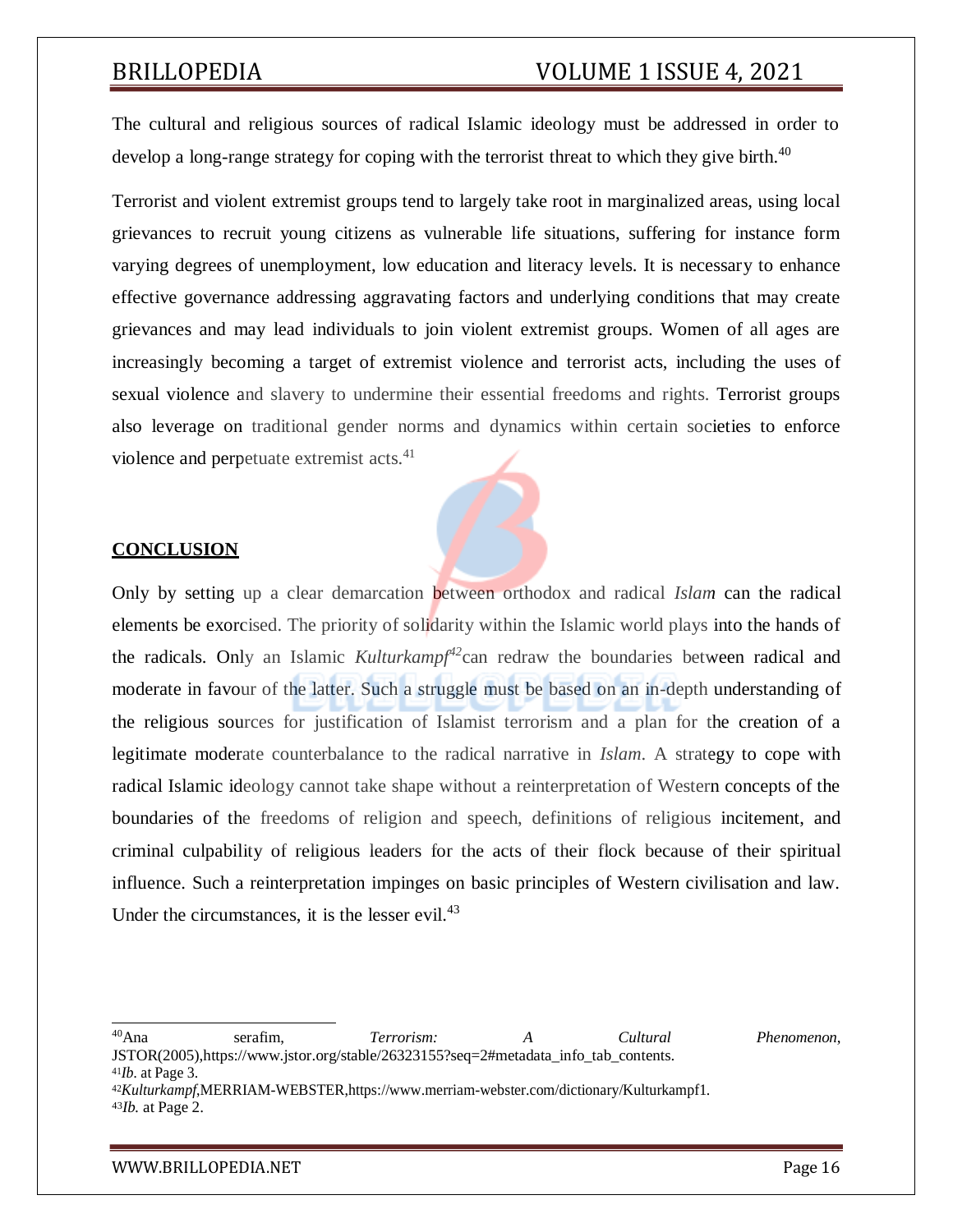The cultural and religious sources of radical Islamic ideology must be addressed in order to develop a long-range strategy for coping with the terrorist threat to which they give birth.<sup>40</sup>

Terrorist and violent extremist groups tend to largely take root in marginalized areas, using local grievances to recruit young citizens as vulnerable life situations, suffering for instance form varying degrees of unemployment, low education and literacy levels. It is necessary to enhance effective governance addressing aggravating factors and underlying conditions that may create grievances and may lead individuals to join violent extremist groups. Women of all ages are increasingly becoming a target of extremist violence and terrorist acts, including the uses of sexual violence and slavery to undermine their essential freedoms and rights. Terrorist groups also leverage on traditional gender norms and dynamics within certain societies to enforce violence and perpetuate extremist acts.<sup>41</sup>

### **CONCLUSION**

Only by setting up a clear demarcation between orthodox and radical *Islam* can the radical elements be exorcised. The priority of solidarity within the Islamic world plays into the hands of the radicals. Only an Islamic *Kulturkampf<sup>42</sup>*can redraw the boundaries between radical and moderate in favour of the latter. Such a struggle must be based on an in-depth understanding of the religious sources for justification of Islamist terrorism and a plan for the creation of a legitimate moderate counterbalance to the radical narrative in *Islam*. A strategy to cope with radical Islamic ideology cannot take shape without a reinterpretation of Western concepts of the boundaries of the freedoms of religion and speech, definitions of religious incitement, and criminal culpability of religious leaders for the acts of their flock because of their spiritual influence. Such a reinterpretation impinges on basic principles of Western civilisation and law. Under the circumstances, it is the lesser evil. $43$ 

<sup>40</sup>Ana serafim, *Terrorism: A Cultural Phenomenon*, JSTOR(2005),https:/[/www.jstor.org/stable/26323155?seq=2#metadata\\_info\\_tab\\_contents.](http://www.jstor.org/stable/26323155?seq=2&metadata_info_tab_contents) <sup>41</sup>*Ib.* at Page 3.

<sup>42</sup>*Kulturkampf*,MERRIAM-WEBSTER,https[://www.merriam-webster.com/dictionary/Kulturkampf1.](http://www.merriam-webster.com/dictionary/Kulturkampf1) <sup>43</sup>*Ib.* at Page 2.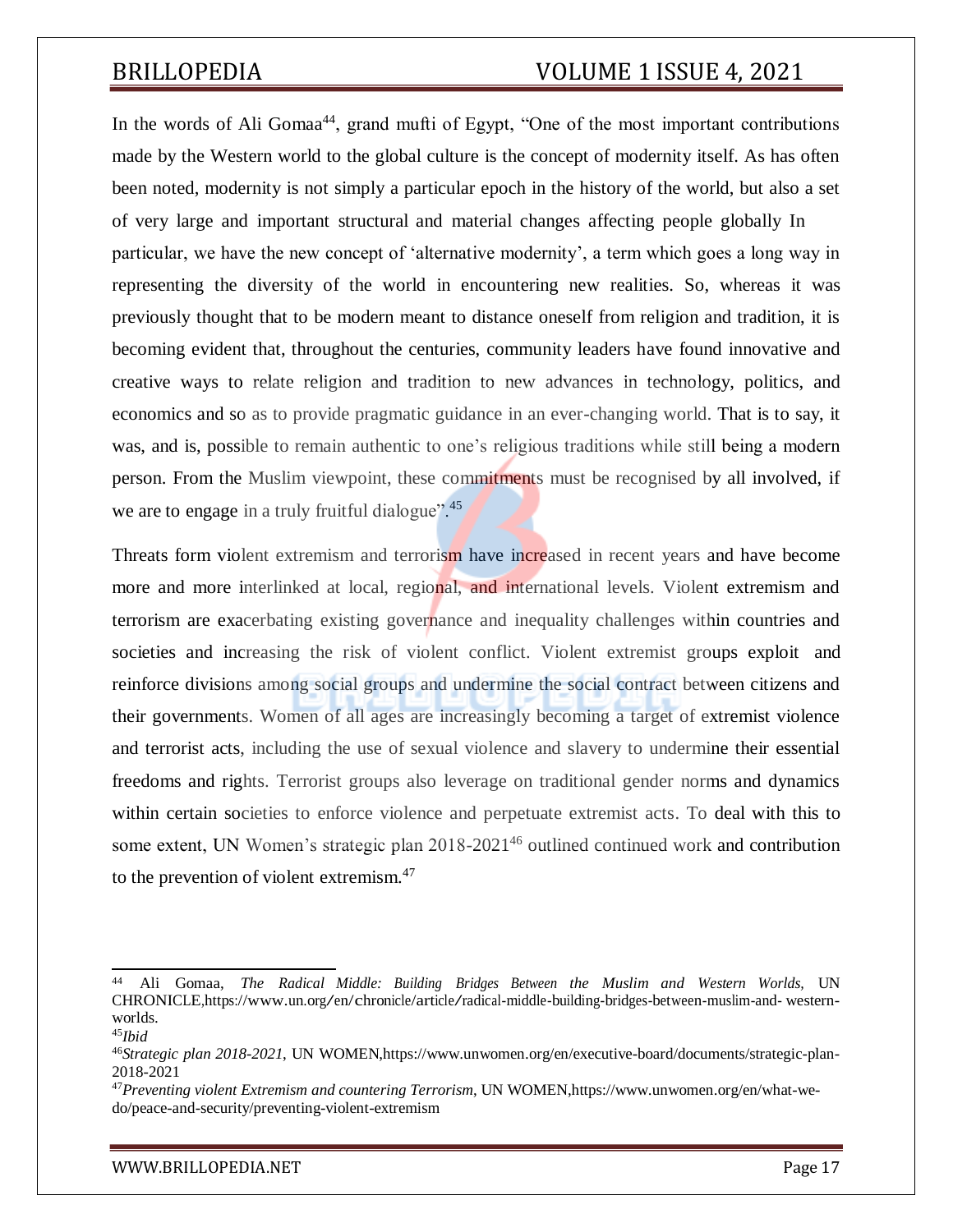In the words of Ali Gomaa<sup>44</sup>, grand mufti of Egypt, "One of the most important contributions made by the Western world to the global culture is the concept of modernity itself. As has often been noted, modernity is not simply a particular epoch in the history of the world, but also a set of very large and important structural and material changes affecting people globally In particular, we have the new concept of 'alternative modernity', a term which goes a long way in representing the diversity of the world in encountering new realities. So, whereas it was previously thought that to be modern meant to distance oneself from religion and tradition, it is becoming evident that, throughout the centuries, community leaders have found innovative and creative ways to relate religion and tradition to new advances in technology, politics, and economics and so as to provide pragmatic guidance in an ever-changing world. That is to say, it was, and is, possible to remain authentic to one's religious traditions while still being a modern person. From the Muslim viewpoint, these commitments must be recognised by all involved, if we are to engage in a truly fruitful dialogue".<sup>45</sup>

Threats form violent extremism and terrorism have increased in recent years and have become more and more interlinked at local, regional, and international levels. Violent extremism and terrorism are exacerbating existing governance and inequality challenges within countries and societies and increasing the risk of violent conflict. Violent extremist groups exploit and reinforce divisions among social groups and undermine the social contract between citizens and their governments. Women of all ages are increasingly becoming a target of extremist violence and terrorist acts, including the use of sexual violence and slavery to undermine their essential freedoms and rights. Terrorist groups also leverage on traditional gender norms and dynamics within certain societies to enforce violence and perpetuate extremist acts. To deal with this to some extent, UN Women's strategic plan  $2018-2021^{46}$  outlined continued work and contribution to the prevention of violent extremism.<sup>47</sup>

<sup>44</sup> Ali Gomaa, *The Radical Middle: Building Bridges Between the Muslim and Western Worlds,* UN CHRONICLE*,*https[://www.un.org/en/chronicle/article/radical-middle-building-bridges-between-muslim-and-](http://www.un.org/en/chronicle/article/radical-middle-building-bridges-between-muslim-and-) westernworlds.

<sup>45</sup>*Ibid*

<sup>46</sup>*Strategic plan 2018-2021*, UN WOMEN,https:/[/www.unwomen.org/en/executive-board/documents/strategic-plan-](http://www.unwomen.org/en/executive-board/documents/strategic-plan-)2018-2021

<sup>47</sup>*Preventing violent Extremism and countering Terrorism*, UN WOMEN,https:/[/www.unwomen.org/en/what-we](http://www.unwomen.org/en/what-we-)do/peace-and-security/preventing-violent-extremism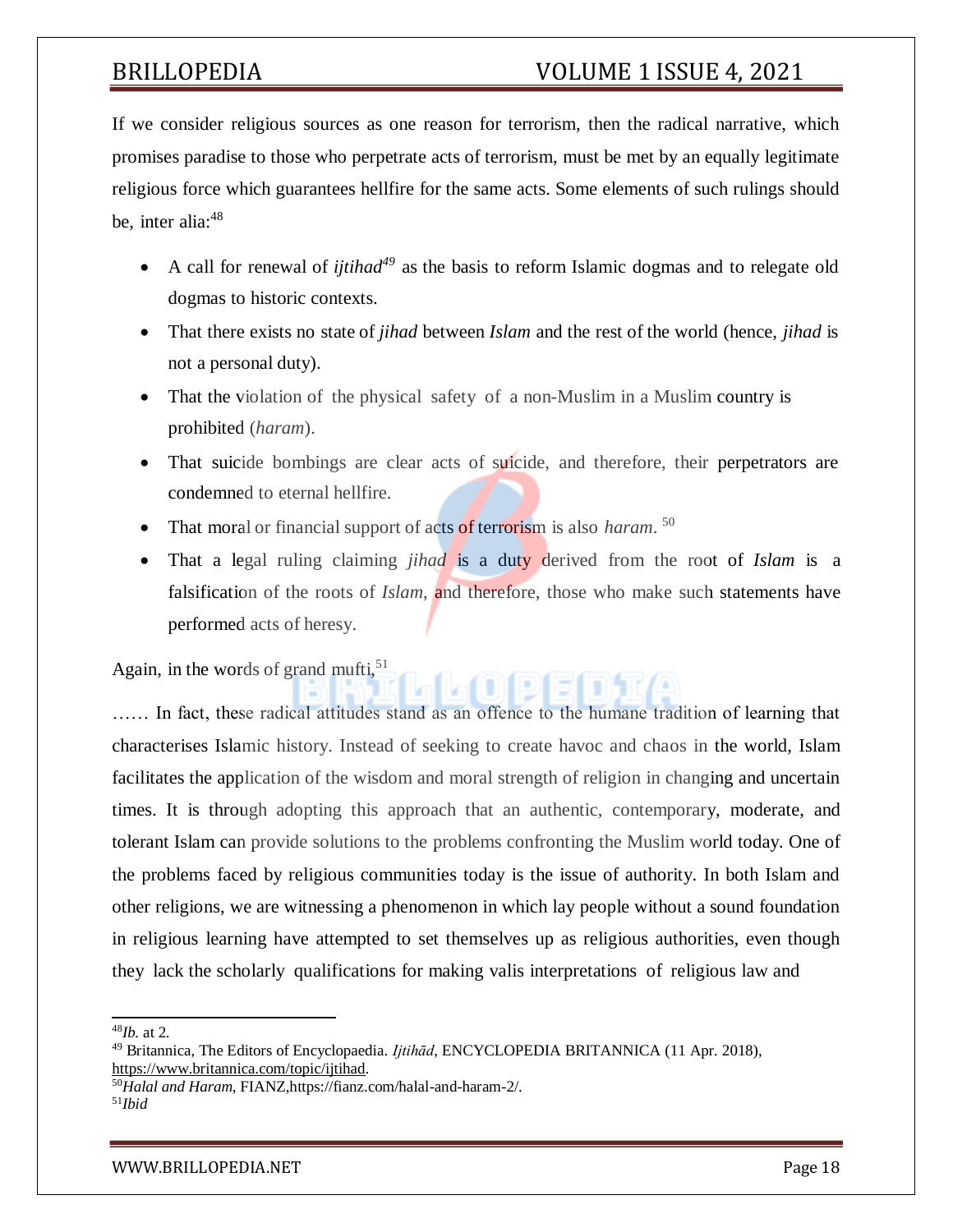If we consider religious sources as one reason for terrorism, then the radical narrative, which promises paradise to those who perpetrate acts of terrorism, must be met by an equally legitimate religious force which guarantees hellfire for the same acts. Some elements of such rulings should be, inter alia: $48$ 

- A call for renewal of *ijtihad<sup>49</sup>* as the basis to reform Islamic dogmas and to relegate old dogmas to historic contexts.
- That there exists no state of *jihad* between *Islam* and the rest of the world (hence, *jihad* is not a personal duty).
- That the violation of the physical safety of a non-Muslim in a Muslim country is prohibited (*haram*).
- That suicide bombings are clear acts of suicide, and therefore, their perpetrators are condemned to eternal hellfire.
- That moral or financial support of acts of terrorism is also *haram*.<sup>50</sup>
- That a legal ruling claiming *jihad* is a duty derived from the root of *Islam* is a falsification of the roots of *Islam*, and therefore, those who make such statements have performed acts of heresy.

Again, in the words of grand mufti,  $51$ 

…… In fact, these radical attitudes stand as an offence to the humane tradition of learning that characterises Islamic history. Instead of seeking to create havoc and chaos in the world, Islam facilitates the application of the wisdom and moral strength of religion in changing and uncertain times. It is through adopting this approach that an authentic, contemporary, moderate, and tolerant Islam can provide solutions to the problems confronting the Muslim world today. One of the problems faced by religious communities today is the issue of authority. In both Islam and other religions, we are witnessing a phenomenon in which lay people without a sound foundation in religious learning have attempted to set themselves up as religious authorities, even though they lack the scholarly qualifications for making valis interpretations of religious law and

<sup>48</sup>*Ib.* at 2.

<sup>49</sup> Britannica, The Editors of Encyclopaedia. *Ijtihād*, ENCYCLOPEDIA BRITANNICA (11 Apr. 2018), [https://www.britannica.com/topic/ijtihad.](https://www.britannica.com/topic/ijtihad)

<sup>50</sup>*Halal and Haram*, FIANZ,https://fianz.com/halal-and-haram-2/. 51*Ibid*